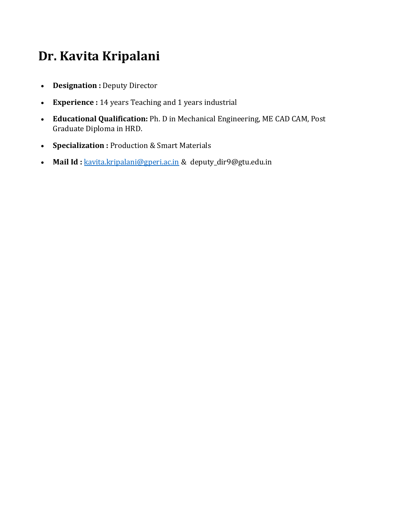# **Dr. Kavita Kripalani**

- **Designation :** Deputy Director
- **Experience :** 14 years Teaching and 1 years industrial
- **Educational Qualification:** Ph. D in Mechanical Engineering, ME CAD CAM, Post Graduate Diploma in HRD.
- **Specialization :** Production & Smart Materials
- Mail Id : [kavita.kripalani@gperi.ac.in](mailto:kavita.kripalani@gperi.ac.in) & deputy\_dir9@gtu.edu.in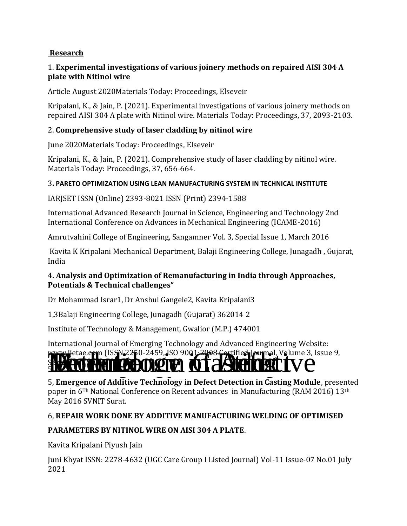### **[Research](https://gperi.ac.in/electrical.php#mapatelOne)**

### 1. **Experimental investigations of various joinery methods on repaired AISI 304 A plate with Nitinol wire**

Article August 2020Materials Today: Proceedings, Elseveir

Kripalani, K., & Jain, P. (2021). Experimental investigations of various joinery methods on repaired AISI 304 A plate with Nitinol wire. Materials Today: Proceedings, 37, 2093-2103.

### 2. **Comprehensive study of laser cladding by nitinol wire**

June 2020Materials Today: Proceedings, Elseveir

Kripalani, K., & Jain, P. (2021). Comprehensive study of laser cladding by nitinol wire. Materials Today: Proceedings, 37, 656-664.

### 3**. PARETO OPTIMIZATION USING LEAN MANUFACTURING SYSTEM IN TECHNICAL INSTITUTE**

IARJSET ISSN (Online) 2393-8021 ISSN (Print) 2394-1588

International Advanced Research Journal in Science, Engineering and Technology 2nd International Conference on Advances in Mechanical Engineering (ICAME-2016)

Amrutvahini College of Engineering, Sangamner Vol. 3, Special Issue 1, March 2016

Kavita K Kripalani Mechanical Department, Balaji Engineering College, Junagadh , Gujarat, India

### 4**. Analysis and Optimization of Remanufacturing in India through Approaches, Potentials & Technical challenges"**

Dr Mohammad Israr1, Dr Anshul Gangele2, Kavita Kripalani3

1,3Balaji Engineering College, Junagadh (Gujarat) 362014 2

Institute of Technology & Management, Gwalior (M.P.) 474001

International Journal of Emerging Technology and Advanced Engineering Website:

## www.ijetae.com (ISSN 2250-2459, ISO 9001-2008 Certified Journal, Volume 3, Issue 9, issue 9, issue 9, issue 9,  $\mathcal{L}(\mathcal{L})$ September 2013

5, **Emergence of Additive Technology in Defect Detection in Casting Module**, presented paper in 6Th National Conference on Recent advances in Manufacturing (RAM 2016) 13th May 2016 SVNIT Surat.

### 6, **REPAIR WORK DONE BY ADDITIVE MANUFACTURING WELDING OF OPTIMISED**

### **PARAMETERS BY NITINOL WIRE ON AISI 304 A PLATE**.

Kavita Kripalani Piyush Jain

Juni Khyat ISSN: 2278-4632 (UGC Care Group I Listed Journal) Vol-11 Issue-07 No.01 July 2021